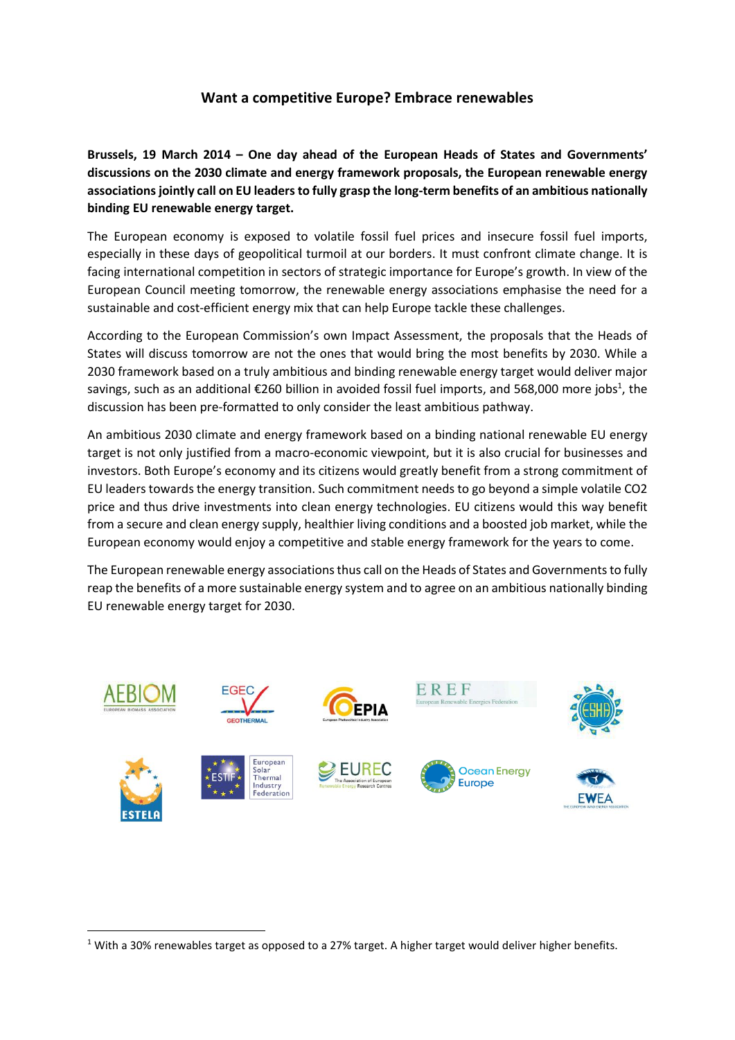## **Want a competitive Europe? Embrace renewables**

**Brussels, 19 March 2014 – One day ahead of the European Heads of States and Governments' discussions on the 2030 climate and energy framework proposals, the European renewable energy associationsjointly call on EU leadersto fully grasp the long-term benefits of an ambitious nationally binding EU renewable energy target.**

The European economy is exposed to volatile fossil fuel prices and insecure fossil fuel imports, especially in these days of geopolitical turmoil at our borders. It must confront climate change. It is facing international competition in sectors of strategic importance for Europe's growth. In view of the European Council meeting tomorrow, the renewable energy associations emphasise the need for a sustainable and cost-efficient energy mix that can help Europe tackle these challenges.

According to the European Commission's own Impact Assessment, the proposals that the Heads of States will discuss tomorrow are not the ones that would bring the most benefits by 2030. While a 2030 framework based on a truly ambitious and binding renewable energy target would deliver major savings, such as an additional €260 billion in avoided fossil fuel imports, and 568,000 more jobs<sup>1</sup>, the discussion has been pre-formatted to only consider the least ambitious pathway.

An ambitious 2030 climate and energy framework based on a binding national renewable EU energy target is not only justified from a macro-economic viewpoint, but it is also crucial for businesses and investors. Both Europe's economy and its citizens would greatly benefit from a strong commitment of EU leaders towards the energy transition. Such commitment needs to go beyond a simple volatile CO2 price and thus drive investments into clean energy technologies. EU citizens would this way benefit from a secure and clean energy supply, healthier living conditions and a boosted job market, while the European economy would enjoy a competitive and stable energy framework for the years to come.

The European renewable energy associations thus call on the Heads of States and Governments to fully reap the benefits of a more sustainable energy system and to agree on an ambitious nationally binding EU renewable energy target for 2030.



**.** 

 $1$  With a 30% renewables target as opposed to a 27% target. A higher target would deliver higher benefits.